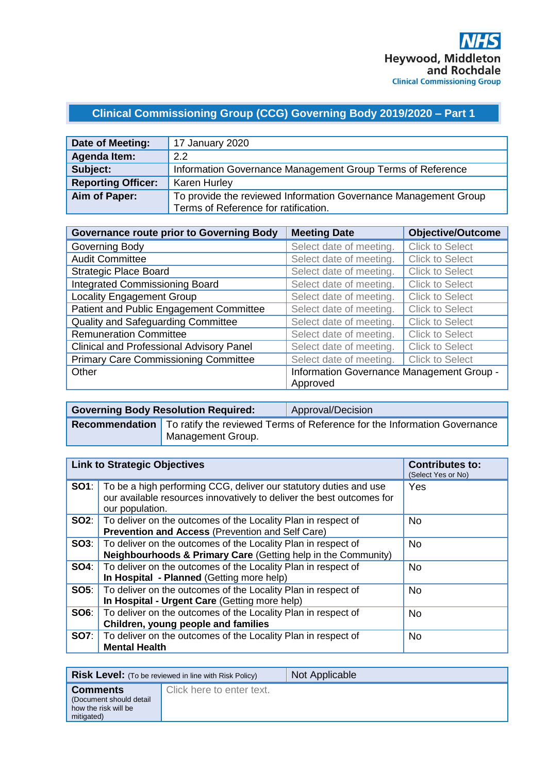# **Clinical Commissioning Group (CCG) Governing Body 2019/2020 – Part 1**

| Date of Meeting:          | 17 January 2020                                                 |
|---------------------------|-----------------------------------------------------------------|
| Agenda Item:              | 2.2                                                             |
| Subject:                  | Information Governance Management Group Terms of Reference      |
| <b>Reporting Officer:</b> | <b>Karen Hurley</b>                                             |
| Aim of Paper:             | To provide the reviewed Information Governance Management Group |
|                           | Terms of Reference for ratification.                            |

| <b>Governance route prior to Governing Body</b> | <b>Meeting Date</b>                                   | <b>Objective/Outcome</b> |
|-------------------------------------------------|-------------------------------------------------------|--------------------------|
| Governing Body                                  | Select date of meeting.                               | <b>Click to Select</b>   |
| <b>Audit Committee</b>                          | Select date of meeting.                               | <b>Click to Select</b>   |
| <b>Strategic Place Board</b>                    | Select date of meeting.                               | <b>Click to Select</b>   |
| <b>Integrated Commissioning Board</b>           | Select date of meeting.                               | <b>Click to Select</b>   |
| <b>Locality Engagement Group</b>                | Select date of meeting.                               | <b>Click to Select</b>   |
| Patient and Public Engagement Committee         | Select date of meeting.                               | <b>Click to Select</b>   |
| <b>Quality and Safeguarding Committee</b>       | Select date of meeting.                               | <b>Click to Select</b>   |
| <b>Remuneration Committee</b>                   | Select date of meeting.                               | <b>Click to Select</b>   |
| <b>Clinical and Professional Advisory Panel</b> | Select date of meeting.                               | <b>Click to Select</b>   |
| <b>Primary Care Commissioning Committee</b>     | Select date of meeting.                               | <b>Click to Select</b>   |
| Other                                           | Information Governance Management Group -<br>Approved |                          |

| <b>Governing Body Resolution Required:</b> | Approval/Decision                                                                                |
|--------------------------------------------|--------------------------------------------------------------------------------------------------|
| Management Group.                          | <b>Recommendation</b>   To ratify the reviewed Terms of Reference for the Information Governance |

|             | <b>Link to Strategic Objectives</b>                                                                                                                           | <b>Contributes to:</b><br>(Select Yes or No) |
|-------------|---------------------------------------------------------------------------------------------------------------------------------------------------------------|----------------------------------------------|
| SO1:        | To be a high performing CCG, deliver our statutory duties and use<br>our available resources innovatively to deliver the best outcomes for<br>our population. | Yes                                          |
|             | <b>SO2:</b>   To deliver on the outcomes of the Locality Plan in respect of<br><b>Prevention and Access (Prevention and Self Care)</b>                        | <b>No</b>                                    |
| SO3:        | To deliver on the outcomes of the Locality Plan in respect of<br>Neighbourhoods & Primary Care (Getting help in the Community)                                | <b>No</b>                                    |
| <b>SO4:</b> | To deliver on the outcomes of the Locality Plan in respect of<br>In Hospital - Planned (Getting more help)                                                    | <b>No</b>                                    |
| <b>SO5:</b> | To deliver on the outcomes of the Locality Plan in respect of<br>In Hospital - Urgent Care (Getting more help)                                                | <b>No</b>                                    |
| SO6:        | To deliver on the outcomes of the Locality Plan in respect of<br>Children, young people and families                                                          | <b>No</b>                                    |
| <b>SO7:</b> | To deliver on the outcomes of the Locality Plan in respect of<br><b>Mental Health</b>                                                                         | <b>No</b>                                    |

|                                                                                  | <b>Risk Level:</b> (To be reviewed in line with Risk Policy) | Not Applicable |
|----------------------------------------------------------------------------------|--------------------------------------------------------------|----------------|
| <b>Comments</b><br>(Document should detail<br>how the risk will be<br>mitigated) | Click here to enter text.                                    |                |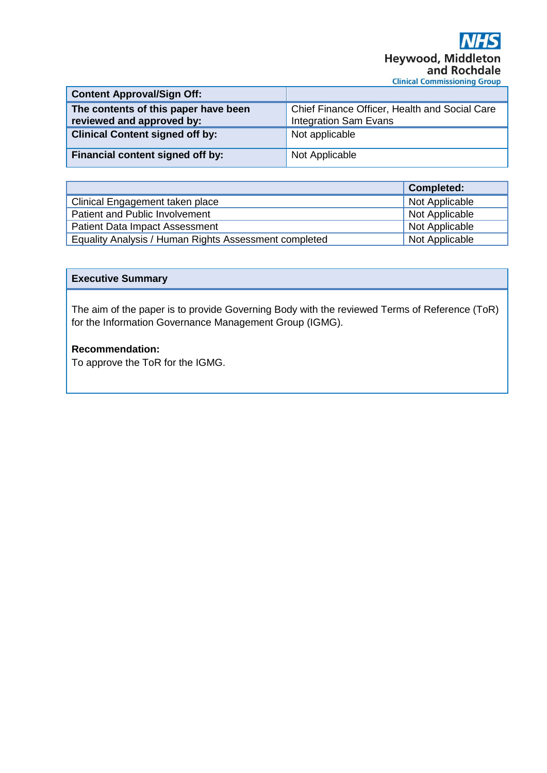| <b>Content Approval/Sign Off:</b>                                 |                                                                               |
|-------------------------------------------------------------------|-------------------------------------------------------------------------------|
| The contents of this paper have been<br>reviewed and approved by: | Chief Finance Officer, Health and Social Care<br><b>Integration Sam Evans</b> |
| <b>Clinical Content signed off by:</b>                            | Not applicable                                                                |
| Financial content signed off by:                                  | Not Applicable                                                                |

|                                                       | <b>Completed:</b> |
|-------------------------------------------------------|-------------------|
| Clinical Engagement taken place                       | Not Applicable    |
| Patient and Public Involvement                        | Not Applicable    |
| <b>Patient Data Impact Assessment</b>                 | Not Applicable    |
| Equality Analysis / Human Rights Assessment completed | Not Applicable    |

#### **Executive Summary**

The aim of the paper is to provide Governing Body with the reviewed Terms of Reference (ToR) for the Information Governance Management Group (IGMG).

# **Recommendation:**

To approve the ToR for the IGMG.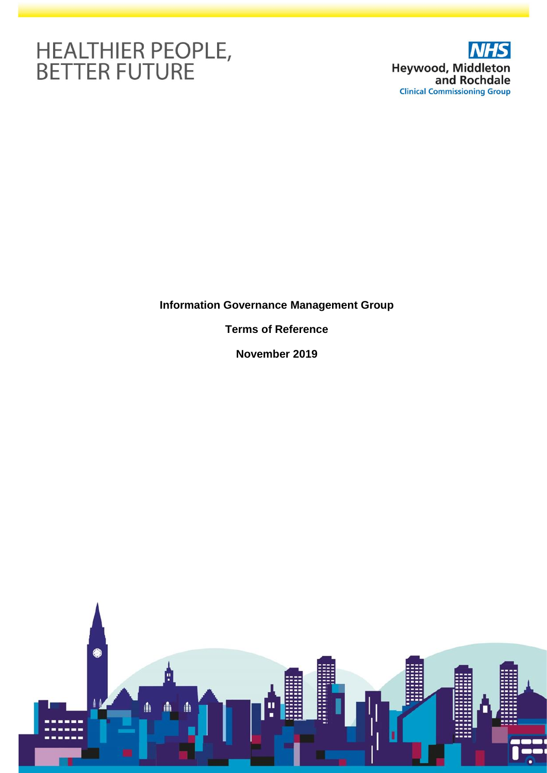# HEALTHIER PEOPLE,<br>BETTER FUTURE



# **Information Governance Management Group**

**Terms of Reference**

**November 2019**

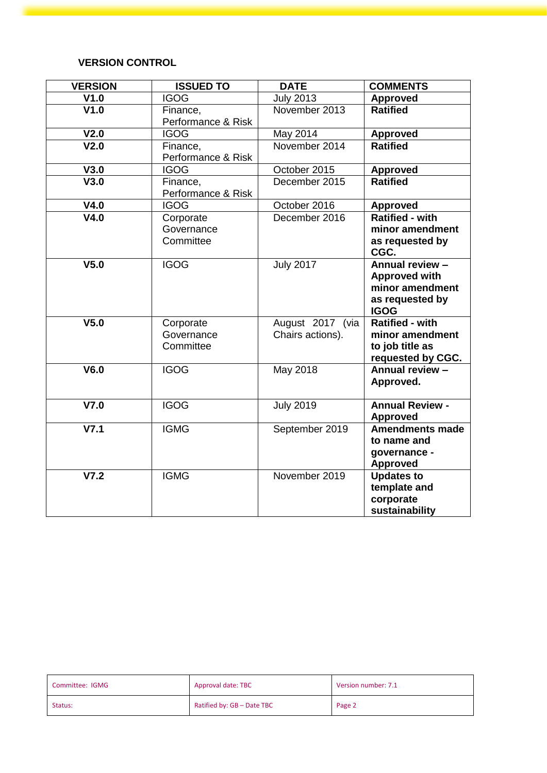# **VERSION CONTROL**

| <b>VERSION</b>   | <b>ISSUED TO</b>   | <b>DATE</b>      | <b>COMMENTS</b>                       |
|------------------|--------------------|------------------|---------------------------------------|
| V1.0             | <b>IGOG</b>        | <b>July 2013</b> | <b>Approved</b>                       |
| V1.0             | Finance,           | November 2013    | <b>Ratified</b>                       |
|                  | Performance & Risk |                  |                                       |
| V <sub>2.0</sub> | <b>IGOG</b>        | May 2014         | <b>Approved</b>                       |
| V <sub>2.0</sub> | Finance,           | November 2014    | <b>Ratified</b>                       |
|                  | Performance & Risk |                  |                                       |
| V3.0             | <b>IGOG</b>        | October 2015     | <b>Approved</b>                       |
| V3.0             | Finance,           | December 2015    | <b>Ratified</b>                       |
|                  | Performance & Risk |                  |                                       |
| V4.0             | <b>IGOG</b>        | October 2016     | <b>Approved</b>                       |
| V4.0             | Corporate          | December 2016    | Ratified - with                       |
|                  | Governance         |                  | minor amendment                       |
|                  | Committee          |                  | as requested by                       |
|                  |                    |                  | CGC.                                  |
| V <sub>5.0</sub> | <b>IGOG</b>        | <b>July 2017</b> | Annual review -                       |
|                  |                    |                  | <b>Approved with</b>                  |
|                  |                    |                  | minor amendment                       |
|                  |                    |                  | as requested by                       |
| V <sub>5.0</sub> | Corporate          | August 2017 (via | <b>IGOG</b><br><b>Ratified - with</b> |
|                  | Governance         | Chairs actions). | minor amendment                       |
|                  | Committee          |                  | to job title as                       |
|                  |                    |                  | requested by CGC.                     |
| V6.0             | <b>IGOG</b>        | May 2018         | Annual review -                       |
|                  |                    |                  | Approved.                             |
|                  |                    |                  |                                       |
| V7.0             | <b>IGOG</b>        | <b>July 2019</b> | <b>Annual Review -</b>                |
|                  |                    |                  | <b>Approved</b>                       |
| V7.1             | <b>IGMG</b>        | September 2019   | <b>Amendments made</b>                |
|                  |                    |                  | to name and                           |
|                  |                    |                  | governance -                          |
|                  |                    |                  | <b>Approved</b>                       |
| V7.2             | <b>IGMG</b>        | November 2019    | <b>Updates to</b>                     |
|                  |                    |                  | template and                          |
|                  |                    |                  | corporate                             |
|                  |                    |                  | sustainability                        |

| Committee: IGMG | Approval date: TBC         | Version number: 7.1 |
|-----------------|----------------------------|---------------------|
| Status:         | Ratified by: GB - Date TBC | Page 2              |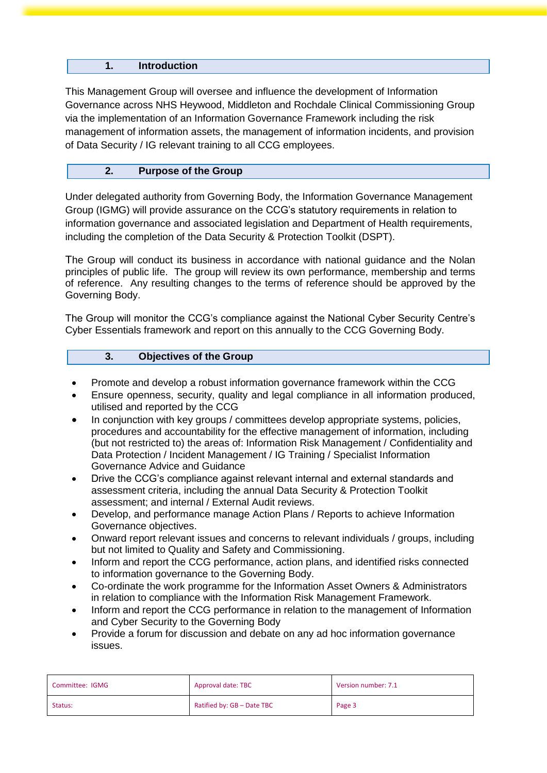# **1. Introduction**

This Management Group will oversee and influence the development of Information Governance across NHS Heywood, Middleton and Rochdale Clinical Commissioning Group via the implementation of an Information Governance Framework including the risk management of information assets, the management of information incidents, and provision of Data Security / IG relevant training to all CCG employees.

# **2. Purpose of the Group**

Under delegated authority from Governing Body, the Information Governance Management Group (IGMG) will provide assurance on the CCG's statutory requirements in relation to information governance and associated legislation and Department of Health requirements, including the completion of the Data Security & Protection Toolkit (DSPT).

The Group will conduct its business in accordance with national guidance and the Nolan principles of public life. The group will review its own performance, membership and terms of reference. Any resulting changes to the terms of reference should be approved by the Governing Body.

The Group will monitor the CCG's compliance against the National Cyber Security Centre's Cyber Essentials framework and report on this annually to the CCG Governing Body.

#### **3. Objectives of the Group**

- Promote and develop a robust information governance framework within the CCG
- Ensure openness, security, quality and legal compliance in all information produced, utilised and reported by the CCG
- In conjunction with key groups / committees develop appropriate systems, policies, procedures and accountability for the effective management of information, including (but not restricted to) the areas of: Information Risk Management / Confidentiality and Data Protection / Incident Management / IG Training / Specialist Information Governance Advice and Guidance
- Drive the CCG's compliance against relevant internal and external standards and assessment criteria, including the annual Data Security & Protection Toolkit assessment; and internal / External Audit reviews.
- Develop, and performance manage Action Plans / Reports to achieve Information Governance objectives.
- Onward report relevant issues and concerns to relevant individuals / groups, including but not limited to Quality and Safety and Commissioning.
- Inform and report the CCG performance, action plans, and identified risks connected to information governance to the Governing Body.
- Co-ordinate the work programme for the Information Asset Owners & Administrators in relation to compliance with the Information Risk Management Framework.
- Inform and report the CCG performance in relation to the management of Information and Cyber Security to the Governing Body
- Provide a forum for discussion and debate on any ad hoc information governance issues.

| Committee: IGMG | Approval date: TBC         | Version number: 7.1 |
|-----------------|----------------------------|---------------------|
| Status:         | Ratified by: GB - Date TBC | Page 3              |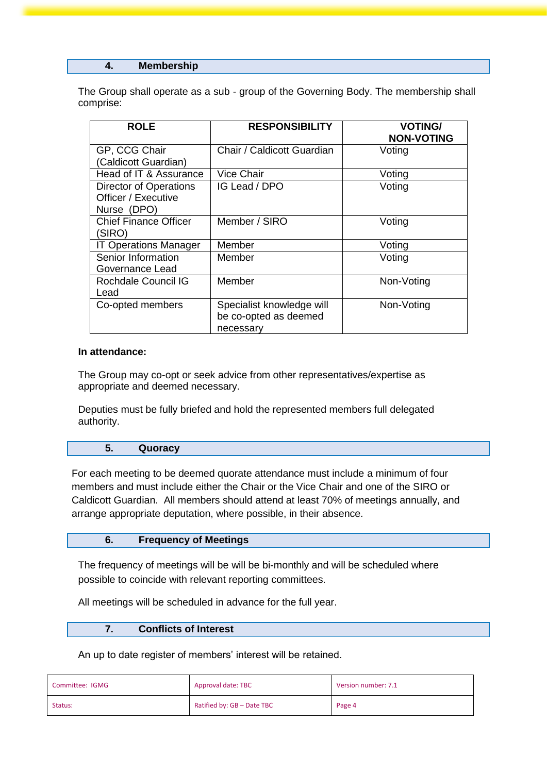#### **4. Membership**

The Group shall operate as a sub - group of the Governing Body. The membership shall comprise:

| <b>ROLE</b>                                                         | <b>RESPONSIBILITY</b>                                           | <b>VOTING/</b><br><b>NON-VOTING</b> |
|---------------------------------------------------------------------|-----------------------------------------------------------------|-------------------------------------|
| GP, CCG Chair<br>(Caldicott Guardian)                               | Chair / Caldicott Guardian                                      | Voting                              |
| Head of IT & Assurance                                              | <b>Vice Chair</b>                                               | Voting                              |
| <b>Director of Operations</b><br>Officer / Executive<br>Nurse (DPO) | IG Lead / DPO                                                   | Voting                              |
| <b>Chief Finance Officer</b><br>(SIRO)                              | Member / SIRO                                                   | Voting                              |
| <b>IT Operations Manager</b>                                        | Member                                                          | Voting                              |
| Senior Information<br>Governance Lead                               | Member                                                          | Voting                              |
| Rochdale Council IG<br>Lead                                         | Member                                                          | Non-Voting                          |
| Co-opted members                                                    | Specialist knowledge will<br>be co-opted as deemed<br>necessary | Non-Voting                          |

#### **In attendance:**

The Group may co-opt or seek advice from other representatives/expertise as appropriate and deemed necessary.

Deputies must be fully briefed and hold the represented members full delegated authority.

#### **5. Quoracy**

For each meeting to be deemed quorate attendance must include a minimum of four members and must include either the Chair or the Vice Chair and one of the SIRO or Caldicott Guardian. All members should attend at least 70% of meetings annually, and arrange appropriate deputation, where possible, in their absence.

#### **6. Frequency of Meetings**

The frequency of meetings will be will be bi-monthly and will be scheduled where possible to coincide with relevant reporting committees.

All meetings will be scheduled in advance for the full year.

#### **7. Conflicts of Interest**

An up to date register of members' interest will be retained.

| Committee: IGMG | Approval date: TBC         | Version number: 7.1 |
|-----------------|----------------------------|---------------------|
| Status:         | Ratified by: GB - Date TBC | Page 4              |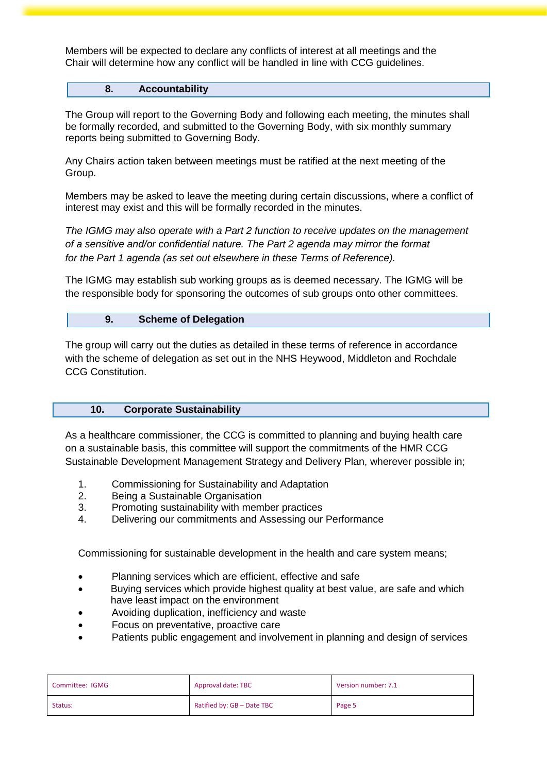Members will be expected to declare any conflicts of interest at all meetings and the Chair will determine how any conflict will be handled in line with CCG guidelines.

#### **8. Accountability**

The Group will report to the Governing Body and following each meeting, the minutes shall be formally recorded, and submitted to the Governing Body, with six monthly summary reports being submitted to Governing Body.

Any Chairs action taken between meetings must be ratified at the next meeting of the Group.

Members may be asked to leave the meeting during certain discussions, where a conflict of interest may exist and this will be formally recorded in the minutes.

*The IGMG may also operate with a Part 2 function to receive updates on the management of a sensitive and/or confidential nature. The Part 2 agenda may mirror the format for the Part 1 agenda (as set out elsewhere in these Terms of Reference).*

The IGMG may establish sub working groups as is deemed necessary. The IGMG will be the responsible body for sponsoring the outcomes of sub groups onto other committees.

#### **9. Scheme of Delegation**

The group will carry out the duties as detailed in these terms of reference in accordance with the scheme of delegation as set out in the NHS Heywood, Middleton and Rochdale CCG Constitution.

#### **10. Corporate Sustainability**

As a healthcare commissioner, the CCG is committed to planning and buying health care on a sustainable basis, this committee will support the commitments of the HMR CCG Sustainable Development Management Strategy and Delivery Plan, wherever possible in;

- 1. Commissioning for Sustainability and Adaptation
- 2. Being a Sustainable Organisation
- 3. Promoting sustainability with member practices
- 4. Delivering our commitments and Assessing our Performance

Commissioning for sustainable development in the health and care system means;

- Planning services which are efficient, effective and safe
- Buying services which provide highest quality at best value, are safe and which have least impact on the environment
- Avoiding duplication, inefficiency and waste
- Focus on preventative, proactive care
- Patients public engagement and involvement in planning and design of services

| Committee: IGMG | Approval date: TBC         | Version number: 7.1 |
|-----------------|----------------------------|---------------------|
| Status:         | Ratified by: GB - Date TBC | Page 5              |